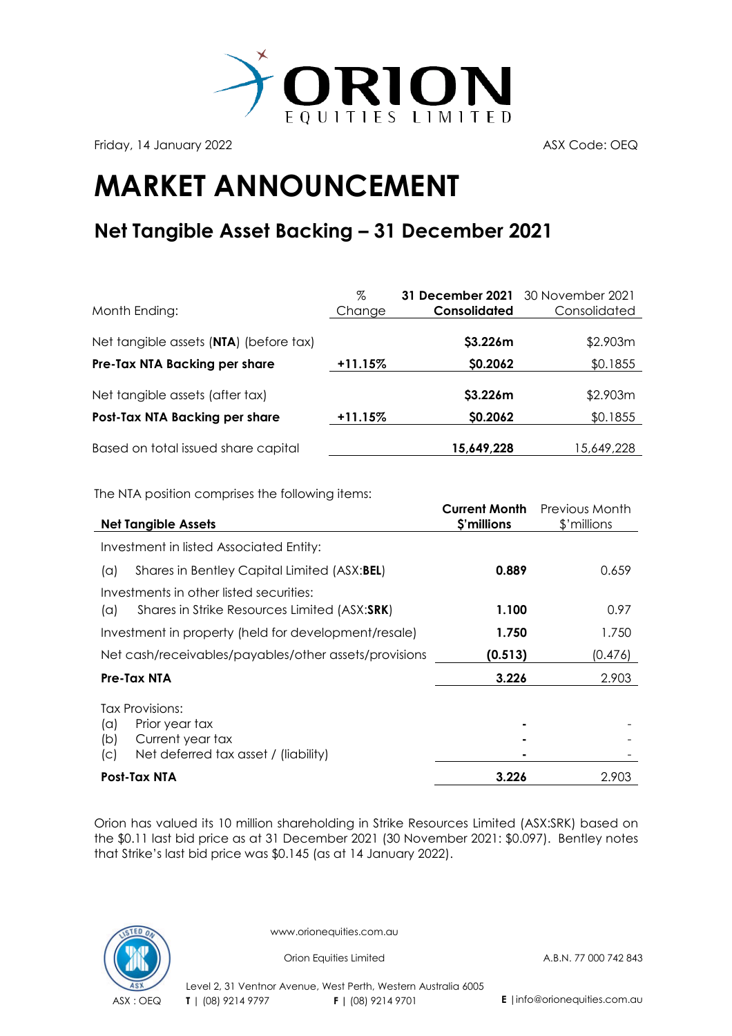

Friday, 14 January 2022 **ASX Code: OEQ** 

## **MARKET ANNOUNCEMENT**

## **Net Tangible Asset Backing – 31 December 2021**

| Month Ending:                          | %<br>Change | <b>31 December 2021</b> 30 November 2021<br>Consolidated | Consolidated |
|----------------------------------------|-------------|----------------------------------------------------------|--------------|
| Net tangible assets (NTA) (before tax) |             | \$3.226m                                                 | \$2.903m     |
| Pre-Tax NTA Backing per share          | $+11.15%$   | \$0.2062                                                 | \$0.1855     |
| Net tangible assets (after tax)        |             | \$3.226m                                                 | \$2.903m     |
| Post-Tax NTA Backing per share         | $+11.15%$   | \$0.2062                                                 | \$0.1855     |
| Based on total issued share capital    |             | 15,649,228                                               | 15,649,228   |

The NTA position comprises the following items:

| <b>Net Tangible Assets</b>                                 | <b>Current Month</b><br>\$'millions | Previous Month<br>\$'millions |
|------------------------------------------------------------|-------------------------------------|-------------------------------|
| Investment in listed Associated Entity:                    |                                     |                               |
| Shares in Bentley Capital Limited (ASX:BEL)<br>$(\alpha)$  | 0.889                               | 0.659                         |
| Investments in other listed securities:                    |                                     |                               |
| Shares in Strike Resources Limited (ASX:SRK)<br>$(\alpha)$ | 1.100                               | 0.97                          |
| Investment in property (held for development/resale)       | 1.750                               | 1.750                         |
| Net cash/receivables/payables/other assets/provisions      | (0.513)                             | (0.476)                       |
| Pre-Tax NTA                                                | 3.226                               | 2.903                         |
| <b>Tax Provisions:</b>                                     |                                     |                               |
| Prior year tax<br>$(\alpha)$<br>Current year tax<br>(b)    |                                     |                               |
| Net deferred tax asset / (liability)<br>(C)                |                                     |                               |
| <b>Post-Tax NTA</b>                                        | 3.226                               | 2.903                         |

Orion has valued its 10 million shareholding in Strike Resources Limited (ASX:SRK) based on the \$0.11 last bid price as at 31 December 2021 (30 November 2021: \$0.097). Bentley notes that Strike's last bid price was \$0.145 (as at 14 January 2022).



www.orionequities.com.au

Orion Equities Limited A.B.N. 77 000 742 843

Level 2, 31 Ventnor Avenue, West Perth, Western Australia 6005 ASX : OEQ **T** | (08) 9214 9797 **F |** (08) 9214 9701 **E** |info@orionequities.com.au